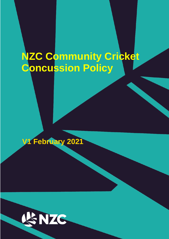# **NZC Community Cricket Concussion Policy**

# **V1 February 2021**

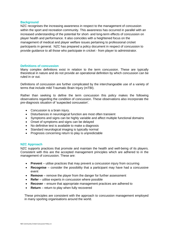#### **Background**

NZC recognises the increasing awareness in respect to the management of concussion within the sport and recreation community. This awareness has occurred in parallel with an increased understanding of the potential for short- and long-term effects of concussion on player health and performance. It also coincides with a heightened focus on the management of medical and player welfare issues pertaining to professional cricket participants in general. NZC has prepared a policy document in respect of concussion to provide guidance to all those who participate in cricket - from player to administrator.

#### **Definitions of concussion**

Many complex definitions exist in relation to the term concussion. These are typically theoretical in nature and do not provide an operational definition by which concussion can be ruled in or out.

Definitions of concussion are further complicated by the interchangeable use of a variety of terms that include mild Traumatic Brain Injury (mTBI).

Rather than seeking to define the term concussion this policy makes the following observations regarding the condition of concussion. These observations also incorporate the pre-diagnosis situation of 'suspected concussion'.

- Concussion is a brain injury.
- Disturbances in neurological function are most often transient
- Symptoms and signs can be highly variable and affect multiple functional domains
- Onset of symptoms and signs can be delayed
- No definitive test is available to make a diagnosis
- Standard neurological imaging is typically normal
- Prognosis concerning return to play is unpredictable

#### **NZC Approach**

NZC supports practices that promote and maintain the health and well-being of its players. Consistent with this are the accepted management principles which are adhered to in the management of concussion. These are:

- **Prevent** utilise practices that may prevent a concussion injury from occurring
- **Recognise** consider the possibility that a participant may have had a concussive event
- **Remove** remove the player from the danger for further assessment
- **Refer** utilise experts in concussion where possible
- **Recover** ensure that appropriate management practices are adhered to
- **Return** return to play when fully recovered

These principles are consistent with the approach to concussion management employed in many sporting organisations around the world.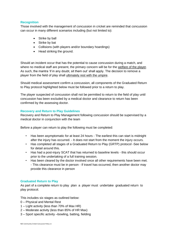## **Recognition**

Those involved with the management of concussion in cricket are reminded that concussion can occur in many different scenarios including (but not limited to):

- Strike by ball
- Strike by bat
- Collisions (with players and/or boundary hoardings)
- Head striking the ground.

Should an incident occur that has the potential to cause concussion during a match, and where no medical staff are present, the primary concern will be for the welfare of the player. As such, the mantra 'if in any doubt, sit them out' shall apply. The decision to remove a player from the field of play shall ultimately rest with the umpire.

Should medical assessment confirm a concussion, all components of the Graduated Return to Play protocol highlighted below must be followed prior to a return to play.

The player suspected of concussion shall not be permitted to return to the field of play until concussion has been excluded by a medical doctor and clearance to return has been confirmed by the assessing doctor.

## **Recovery and Return to Play Guidelines**

Recovery and Return to Play Management following concussion should be supervised by a medical doctor in conjunction with the team

Before a player can return to play the following must be completed:

- Has been asymptomatic for at least 24 hours The earliest this can start is midnight after the injury has occurred. - It does not start from the moment the injury occurs.
- Has completed all stages of a Graduated Return to Play (GRTP) protocol -See below for detail around this.
- Has had a post-injury SCAT that has returned to baseline levels this should occur prior to the undertaking of a full training session.
- Has been cleared by the doctor involved once all other requirements have been met. - This clearance must be in person - If travel has occurred, then another doctor may provide this clearance in person

# **Graduated Return to Play**

As part of a complete return to play plan a player must undertake graduated return to play protocol.

This includes six stages as outlined below:

- 0 Physical and Mental Rest
- 1 Light activity (less than 70% of Max HR)
- 2 Moderate activity (less than 85% of HR Max)
- 3 Sport specific activity –bowling, batting, fielding